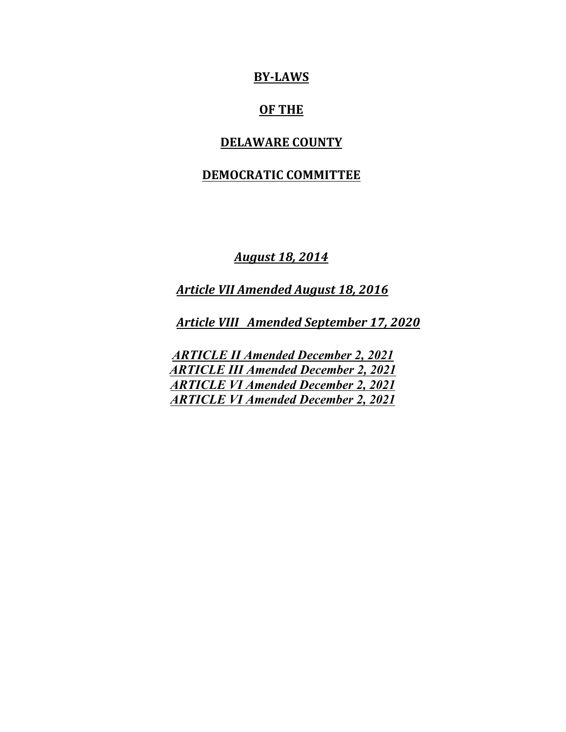## **BY-LAWS**

# **OF THE**

#### **DELAWARE COUNTY**

# **DEMOCRATIC COMMITTEE**

*August 18, 2014*

*Article VII Amended August 18, 2016*

*Article VIII Amended September 17, 2020*

*ARTICLE II Amended December 2, 2021 ARTICLE III Amended December 2, 2021 ARTICLE VI Amended December 2, 2021 ARTICLE VI Amended December 2, 2021*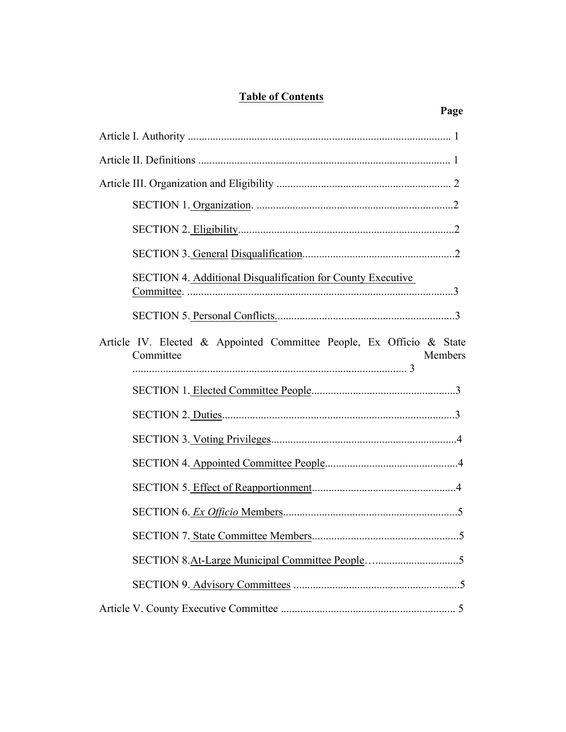# **Table of Contents**

| SECTION 4. Additional Disqualification for County Executive<br>Committee.                    |
|----------------------------------------------------------------------------------------------|
|                                                                                              |
| Article IV. Elected & Appointed Committee People, Ex Officio & State<br>Committee<br>Members |
|                                                                                              |
|                                                                                              |
|                                                                                              |
|                                                                                              |
|                                                                                              |
|                                                                                              |
|                                                                                              |
| $\overline{5}$                                                                               |
|                                                                                              |
|                                                                                              |

# **Page**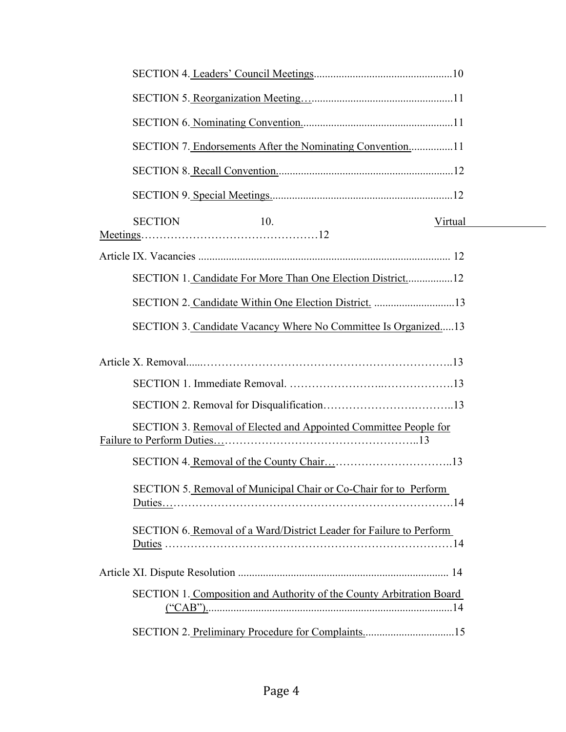| SECTION 7. Endorsements After the Nominating Convention11            |         |
|----------------------------------------------------------------------|---------|
|                                                                      |         |
|                                                                      |         |
| <b>SECTION</b><br>10.                                                | Virtual |
|                                                                      |         |
| SECTION 1. Candidate For More Than One Election District12           |         |
| SECTION 2. Candidate Within One Election District. 13                |         |
| SECTION 3. Candidate Vacancy Where No Committee Is Organized13       |         |
|                                                                      |         |
|                                                                      |         |
|                                                                      |         |
| SECTION 3. Removal of Elected and Appointed Committee People for     |         |
|                                                                      |         |
| SECTION 5. Removal of Municipal Chair or Co-Chair for to Perform     |         |
| SECTION 6. Removal of a Ward/District Leader for Failure to Perform  |         |
|                                                                      |         |
| SECTION 1. Composition and Authority of the County Arbitration Board |         |
| SECTION 2. Preliminary Procedure for Complaints15                    |         |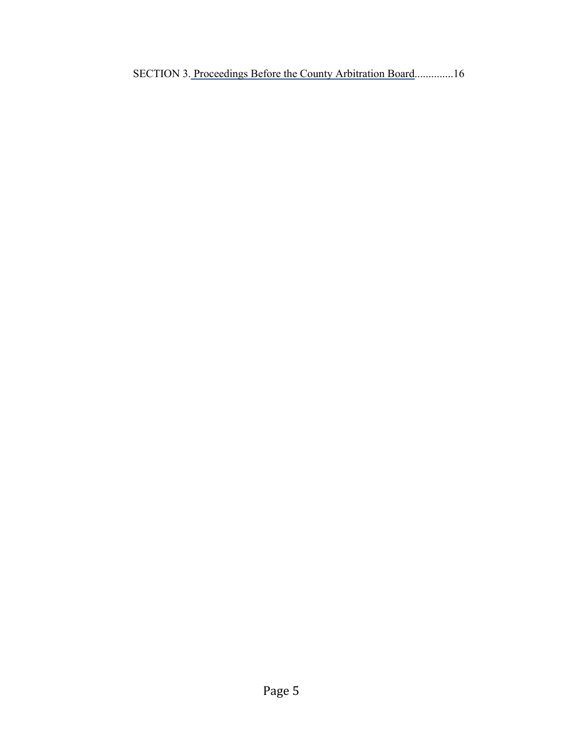SECTION 3. Proceedings Before the County Arbitration Board..............16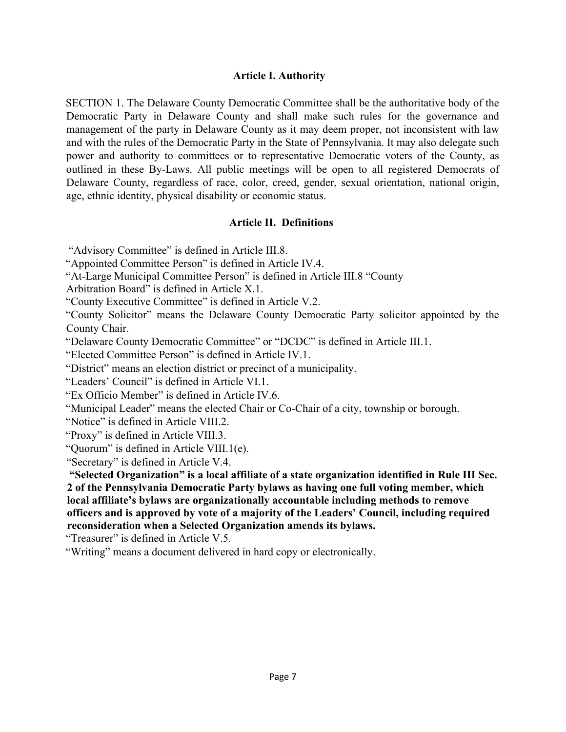#### **Article I. Authority**

SECTION 1. The Delaware County Democratic Committee shall be the authoritative body of the Democratic Party in Delaware County and shall make such rules for the governance and management of the party in Delaware County as it may deem proper, not inconsistent with law and with the rules of the Democratic Party in the State of Pennsylvania. It may also delegate such power and authority to committees or to representative Democratic voters of the County, as outlined in these By-Laws. All public meetings will be open to all registered Democrats of Delaware County, regardless of race, color, creed, gender, sexual orientation, national origin, age, ethnic identity, physical disability or economic status.

#### **Article II. Definitions**

"Advisory Committee" is defined in Article III.8.

"Appointed Committee Person" is defined in Article IV.4.

"At-Large Municipal Committee Person" is defined in Article III.8 "County

Arbitration Board" is defined in Article X.1.

"County Executive Committee" is defined in Article V.2.

"County Solicitor" means the Delaware County Democratic Party solicitor appointed by the County Chair.

"Delaware County Democratic Committee" or "DCDC" is defined in Article III.1.

"Elected Committee Person" is defined in Article IV.1.

"District" means an election district or precinct of a municipality.

"Leaders' Council" is defined in Article VI.1.

"Ex Officio Member" is defined in Article IV.6.

"Municipal Leader" means the elected Chair or Co-Chair of a city, township or borough.

"Notice" is defined in Article VIII.2.

"Proxy" is defined in Article VIII.3.

"Quorum" is defined in Article VIII.1(e).

"Secretary" is defined in Article V.4.

**"Selected Organization" is a local affiliate of a state organization identified in Rule III Sec. 2 of the Pennsylvania Democratic Party bylaws as having one full voting member, which local affiliate's bylaws are organizationally accountable including methods to remove officers and is approved by vote of a majority of the Leaders' Council, including required reconsideration when a Selected Organization amends its bylaws.**

"Treasurer" is defined in Article V.5.

"Writing" means a document delivered in hard copy or electronically.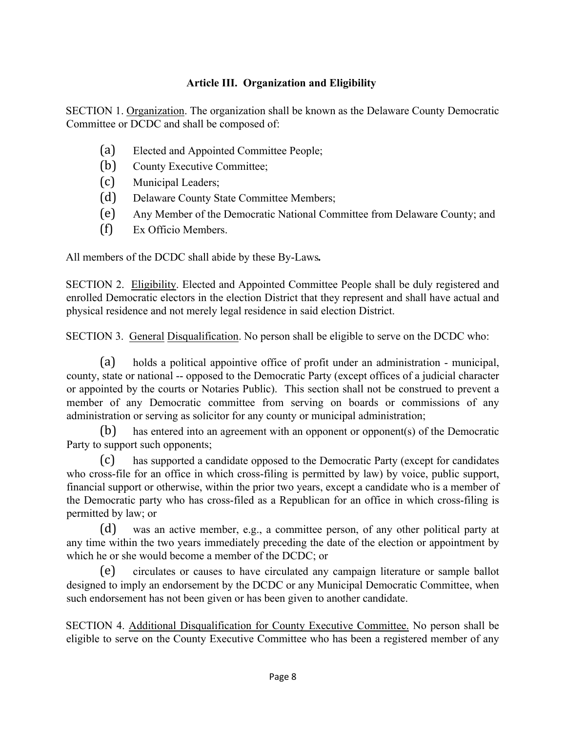# **Article III. Organization and Eligibility**

SECTION 1. Organization. The organization shall be known as the Delaware County Democratic Committee or DCDC and shall be composed of:

- (a) Elected and Appointed Committee People;
- (b) County Executive Committee;
- (c) Municipal Leaders;
- (d) Delaware County State Committee Members;
- (e) Any Member of the Democratic National Committee from Delaware County; and
- (f) Ex Officio Members.

All members of the DCDC shall abide by these By-Laws*.*

SECTION 2. Eligibility. Elected and Appointed Committee People shall be duly registered and enrolled Democratic electors in the election District that they represent and shall have actual and physical residence and not merely legal residence in said election District.

SECTION 3. General Disqualification. No person shall be eligible to serve on the DCDC who:

(a) holds a political appointive office of profit under an administration - municipal, county, state or national -- opposed to the Democratic Party (except offices of a judicial character or appointed by the courts or Notaries Public). This section shall not be construed to prevent a member of any Democratic committee from serving on boards or commissions of any administration or serving as solicitor for any county or municipal administration;

(b) has entered into an agreement with an opponent or opponent(s) of the Democratic Party to support such opponents;

(c) has supported a candidate opposed to the Democratic Party (except for candidates who cross-file for an office in which cross-filing is permitted by law) by voice, public support, financial support or otherwise, within the prior two years, except a candidate who is a member of the Democratic party who has cross-filed as a Republican for an office in which cross-filing is permitted by law; or

(d) was an active member, e.g., a committee person, of any other political party at any time within the two years immediately preceding the date of the election or appointment by which he or she would become a member of the DCDC; or

(e) circulates or causes to have circulated any campaign literature or sample ballot designed to imply an endorsement by the DCDC or any Municipal Democratic Committee, when such endorsement has not been given or has been given to another candidate.

SECTION 4. Additional Disqualification for County Executive Committee. No person shall be eligible to serve on the County Executive Committee who has been a registered member of any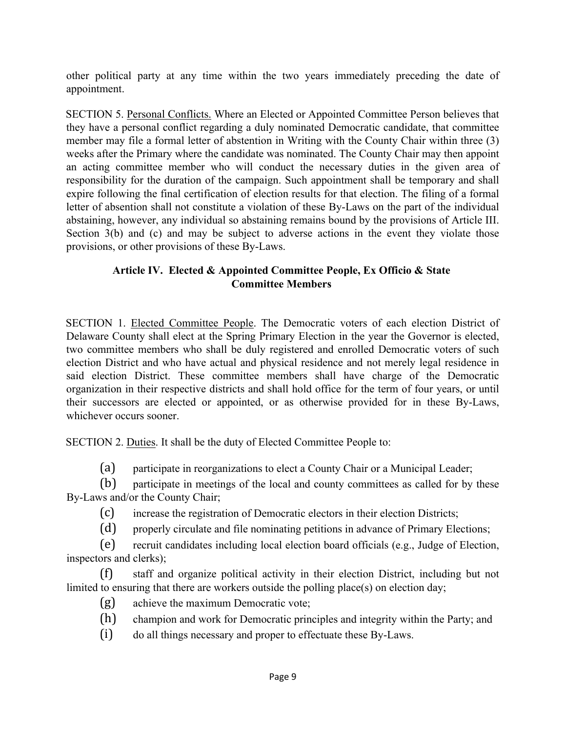other political party at any time within the two years immediately preceding the date of appointment.

SECTION 5. Personal Conflicts. Where an Elected or Appointed Committee Person believes that they have a personal conflict regarding a duly nominated Democratic candidate, that committee member may file a formal letter of abstention in Writing with the County Chair within three (3) weeks after the Primary where the candidate was nominated. The County Chair may then appoint an acting committee member who will conduct the necessary duties in the given area of responsibility for the duration of the campaign. Such appointment shall be temporary and shall expire following the final certification of election results for that election. The filing of a formal letter of absention shall not constitute a violation of these By-Laws on the part of the individual abstaining, however, any individual so abstaining remains bound by the provisions of Article III. Section 3(b) and (c) and may be subject to adverse actions in the event they violate those provisions, or other provisions of these By-Laws.

## **Article IV. Elected & Appointed Committee People, Ex Officio & State Committee Members**

SECTION 1. Elected Committee People. The Democratic voters of each election District of Delaware County shall elect at the Spring Primary Election in the year the Governor is elected, two committee members who shall be duly registered and enrolled Democratic voters of such election District and who have actual and physical residence and not merely legal residence in said election District. These committee members shall have charge of the Democratic organization in their respective districts and shall hold office for the term of four years, or until their successors are elected or appointed, or as otherwise provided for in these By-Laws, whichever occurs sooner.

SECTION 2. Duties. It shall be the duty of Elected Committee People to:

(a) participate in reorganizations to elect a County Chair or a Municipal Leader;

(b) participate in meetings of the local and county committees as called for by these By-Laws and/or the County Chair;

(c) increase the registration of Democratic electors in their election Districts;

(d) properly circulate and file nominating petitions in advance of Primary Elections;

(e) recruit candidates including local election board officials (e.g., Judge of Election, inspectors and clerks);

(f) staff and organize political activity in their election District, including but not limited to ensuring that there are workers outside the polling place(s) on election day;

- (g) achieve the maximum Democratic vote;
- (h) champion and work for Democratic principles and integrity within the Party; and
- (i) do all things necessary and proper to effectuate these By-Laws.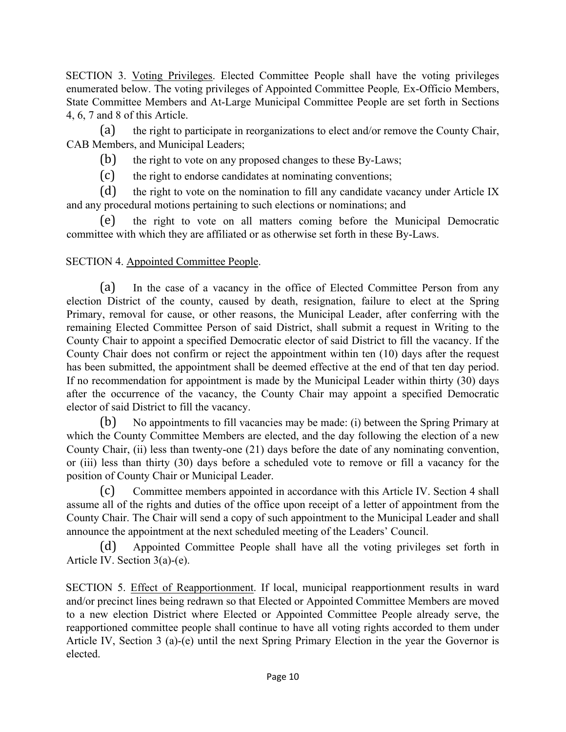SECTION 3. Voting Privileges. Elected Committee People shall have the voting privileges enumerated below. The voting privileges of Appointed Committee People*,* Ex-Officio Members, State Committee Members and At-Large Municipal Committee People are set forth in Sections 4, 6, 7 and 8 of this Article.

(a) the right to participate in reorganizations to elect and/or remove the County Chair, CAB Members, and Municipal Leaders;

(b) the right to vote on any proposed changes to these By-Laws;

(c) the right to endorse candidates at nominating conventions;

(d) the right to vote on the nomination to fill any candidate vacancy under Article IX and any procedural motions pertaining to such elections or nominations; and

(e) the right to vote on all matters coming before the Municipal Democratic committee with which they are affiliated or as otherwise set forth in these By-Laws.

#### SECTION 4. Appointed Committee People.

(a) In the case of a vacancy in the office of Elected Committee Person from any election District of the county, caused by death, resignation, failure to elect at the Spring Primary, removal for cause, or other reasons, the Municipal Leader, after conferring with the remaining Elected Committee Person of said District, shall submit a request in Writing to the County Chair to appoint a specified Democratic elector of said District to fill the vacancy. If the County Chair does not confirm or reject the appointment within ten (10) days after the request has been submitted, the appointment shall be deemed effective at the end of that ten day period. If no recommendation for appointment is made by the Municipal Leader within thirty (30) days after the occurrence of the vacancy, the County Chair may appoint a specified Democratic elector of said District to fill the vacancy.

(b) No appointments to fill vacancies may be made: (i) between the Spring Primary at which the County Committee Members are elected, and the day following the election of a new County Chair, (ii) less than twenty-one (21) days before the date of any nominating convention, or (iii) less than thirty (30) days before a scheduled vote to remove or fill a vacancy for the position of County Chair or Municipal Leader.

(c) Committee members appointed in accordance with this Article IV. Section 4 shall assume all of the rights and duties of the office upon receipt of a letter of appointment from the County Chair. The Chair will send a copy of such appointment to the Municipal Leader and shall announce the appointment at the next scheduled meeting of the Leaders' Council.

(d) Appointed Committee People shall have all the voting privileges set forth in Article IV. Section 3(a)-(e).

SECTION 5. Effect of Reapportionment. If local, municipal reapportionment results in ward and/or precinct lines being redrawn so that Elected or Appointed Committee Members are moved to a new election District where Elected or Appointed Committee People already serve, the reapportioned committee people shall continue to have all voting rights accorded to them under Article IV, Section 3 (a)-(e) until the next Spring Primary Election in the year the Governor is elected.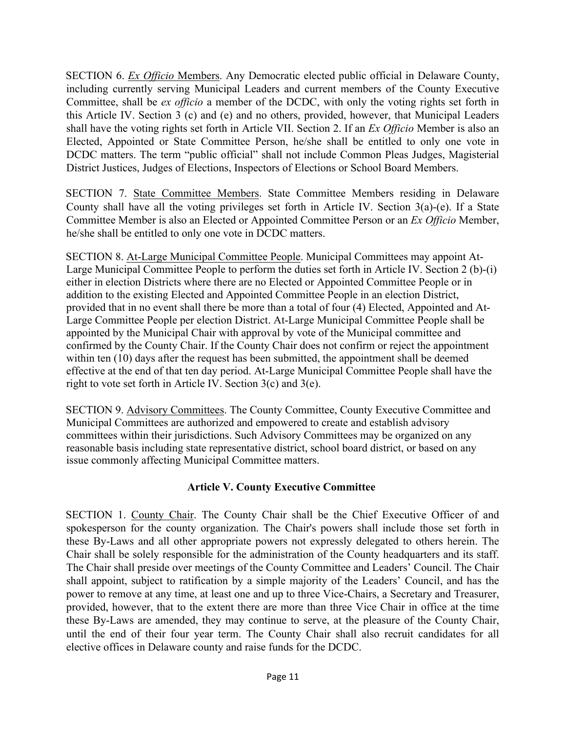SECTION 6. *Ex Officio* Members. Any Democratic elected public official in Delaware County, including currently serving Municipal Leaders and current members of the County Executive Committee, shall be *ex officio* a member of the DCDC, with only the voting rights set forth in this Article IV. Section 3 (c) and (e) and no others, provided, however, that Municipal Leaders shall have the voting rights set forth in Article VII. Section 2. If an *Ex Officio* Member is also an Elected, Appointed or State Committee Person, he/she shall be entitled to only one vote in DCDC matters. The term "public official" shall not include Common Pleas Judges, Magisterial District Justices, Judges of Elections, Inspectors of Elections or School Board Members.

SECTION 7. State Committee Members. State Committee Members residing in Delaware County shall have all the voting privileges set forth in Article IV. Section 3(a)-(e). If a State Committee Member is also an Elected or Appointed Committee Person or an *Ex Officio* Member, he/she shall be entitled to only one vote in DCDC matters.

SECTION 8. At-Large Municipal Committee People. Municipal Committees may appoint At-Large Municipal Committee People to perform the duties set forth in Article IV. Section 2 (b)-(i) either in election Districts where there are no Elected or Appointed Committee People or in addition to the existing Elected and Appointed Committee People in an election District, provided that in no event shall there be more than a total of four (4) Elected, Appointed and At-Large Committee People per election District. At-Large Municipal Committee People shall be appointed by the Municipal Chair with approval by vote of the Municipal committee and confirmed by the County Chair. If the County Chair does not confirm or reject the appointment within ten (10) days after the request has been submitted, the appointment shall be deemed effective at the end of that ten day period. At-Large Municipal Committee People shall have the right to vote set forth in Article IV. Section 3(c) and 3(e).

SECTION 9. Advisory Committees. The County Committee, County Executive Committee and Municipal Committees are authorized and empowered to create and establish advisory committees within their jurisdictions. Such Advisory Committees may be organized on any reasonable basis including state representative district, school board district, or based on any issue commonly affecting Municipal Committee matters.

#### **Article V. County Executive Committee**

SECTION 1. County Chair. The County Chair shall be the Chief Executive Officer of and spokesperson for the county organization. The Chair's powers shall include those set forth in these By-Laws and all other appropriate powers not expressly delegated to others herein. The Chair shall be solely responsible for the administration of the County headquarters and its staff. The Chair shall preside over meetings of the County Committee and Leaders' Council. The Chair shall appoint, subject to ratification by a simple majority of the Leaders' Council, and has the power to remove at any time, at least one and up to three Vice-Chairs, a Secretary and Treasurer, provided, however, that to the extent there are more than three Vice Chair in office at the time these By-Laws are amended, they may continue to serve, at the pleasure of the County Chair, until the end of their four year term. The County Chair shall also recruit candidates for all elective offices in Delaware county and raise funds for the DCDC.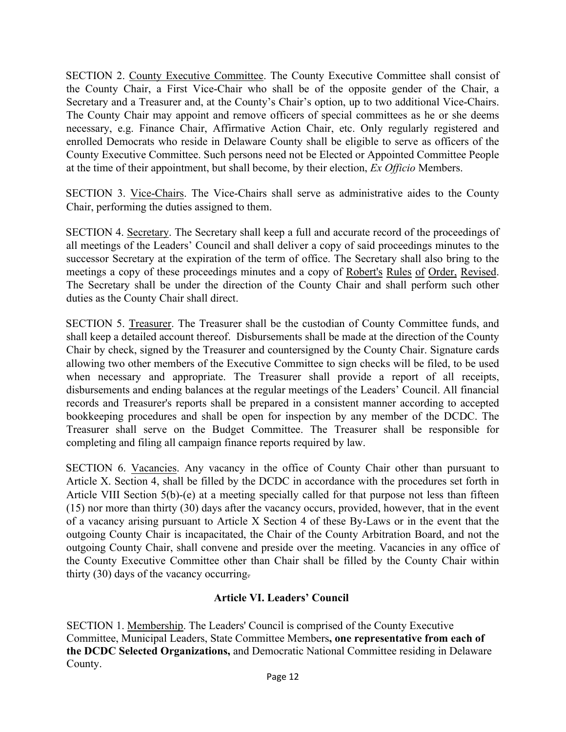SECTION 2. County Executive Committee. The County Executive Committee shall consist of the County Chair, a First Vice-Chair who shall be of the opposite gender of the Chair, a Secretary and a Treasurer and, at the County's Chair's option, up to two additional Vice-Chairs. The County Chair may appoint and remove officers of special committees as he or she deems necessary, e.g. Finance Chair, Affirmative Action Chair, etc. Only regularly registered and enrolled Democrats who reside in Delaware County shall be eligible to serve as officers of the County Executive Committee. Such persons need not be Elected or Appointed Committee People at the time of their appointment, but shall become, by their election, *Ex Officio* Members.

SECTION 3. Vice-Chairs. The Vice-Chairs shall serve as administrative aides to the County Chair, performing the duties assigned to them.

SECTION 4. Secretary. The Secretary shall keep a full and accurate record of the proceedings of all meetings of the Leaders' Council and shall deliver a copy of said proceedings minutes to the successor Secretary at the expiration of the term of office. The Secretary shall also bring to the meetings a copy of these proceedings minutes and a copy of Robert's Rules of Order, Revised.<br>The Secretary shall be under the direction of the County Chair and shall perform such other duties as the County Chair shall direct.

SECTION 5. Treasurer. The Treasurer shall be the custodian of County Committee funds, and shall keep a detailed account thereof. Disbursements shall be made at the direction of the County Chair by check, signed by the Treasurer and countersigned by the County Chair. Signature cards allowing two other members of the Executive Committee to sign checks will be filed, to be used when necessary and appropriate. The Treasurer shall provide a report of all receipts, disbursements and ending balances at the regular meetings of the Leaders' Council. All financial records and Treasurer's reports shall be prepared in a consistent manner according to accepted bookkeeping procedures and shall be open for inspection by any member of the DCDC. The Treasurer shall serve on the Budget Committee. The Treasurer shall be responsible for completing and filing all campaign finance reports required by law.

SECTION 6. Vacancies. Any vacancy in the office of County Chair other than pursuant to Article X. Section 4, shall be filled by the DCDC in accordance with the procedures set forth in Article VIII Section 5(b)-(e) at a meeting specially called for that purpose not less than fifteen (15) nor more than thirty (30) days after the vacancy occurs, provided, however, that in the event of a vacancy arising pursuant to Article X Section 4 of these By-Laws or in the event that the outgoing County Chair is incapacitated, the Chair of the County Arbitration Board, and not the outgoing County Chair, shall convene and preside over the meeting. Vacancies in any office of the County Executive Committee other than Chair shall be filled by the County Chair within thirty (30) days of the vacancy occurring.

#### **Article VI. Leaders' Council**

SECTION 1. Membership. The Leaders' Council is comprised of the County Executive Committee, Municipal Leaders, State Committee Members**, one representative from each of the DCDC Selected Organizations,** and Democratic National Committee residing in Delaware County.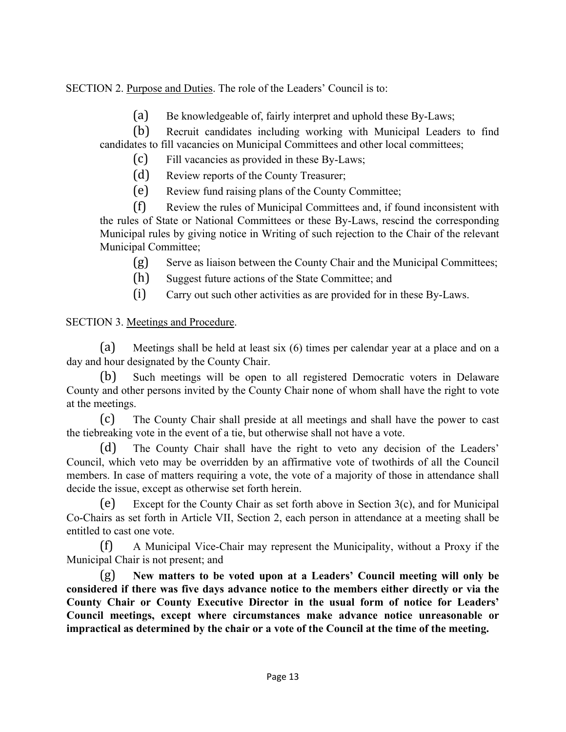# SECTION 2. Purpose and Duties. The role of the Leaders' Council is to:

(a) Be knowledgeable of, fairly interpret and uphold these By-Laws;

(b) Recruit candidates including working with Municipal Leaders to find candidates to fill vacancies on Municipal Committees and other local committees;

(c) Fill vacancies as provided in these By-Laws;

(d) Review reports of the County Treasurer;

(e) Review fund raising plans of the County Committee;

(f) Review the rules of Municipal Committees and, if found inconsistent with the rules of State or National Committees or these By-Laws, rescind the corresponding Municipal rules by giving notice in Writing of such rejection to the Chair of the relevant Municipal Committee;

(g) Serve as liaison between the County Chair and the Municipal Committees;

(h) Suggest future actions of the State Committee; and

(i) Carry out such other activities as are provided for in these By-Laws.

## SECTION 3. Meetings and Procedure.

(a) Meetings shall be held at least six (6) times per calendar year at a place and on a day and hour designated by the County Chair.

(b) Such meetings will be open to all registered Democratic voters in Delaware County and other persons invited by the County Chair none of whom shall have the right to vote at the meetings.

(c) The County Chair shall preside at all meetings and shall have the power to cast the tiebreaking vote in the event of a tie, but otherwise shall not have a vote.

(d) The County Chair shall have the right to veto any decision of the Leaders' Council, which veto may be overridden by an affirmative vote of twothirds of all the Council members. In case of matters requiring a vote, the vote of a majority of those in attendance shall decide the issue, except as otherwise set forth herein.

(e) Except for the County Chair as set forth above in Section 3(c), and for Municipal Co-Chairs as set forth in Article VII, Section 2, each person in attendance at a meeting shall be entitled to cast one vote.

(f) A Municipal Vice-Chair may represent the Municipality, without a Proxy if the Municipal Chair is not present; and

(g) **New matters to be voted upon at a Leaders' Council meeting will only be considered if there was five days advance notice to the members either directly or via the County Chair or County Executive Director in the usual form of notice for Leaders' Council meetings, except where circumstances make advance notice unreasonable or impractical as determined by the chair or a vote of the Council at the time of the meeting.**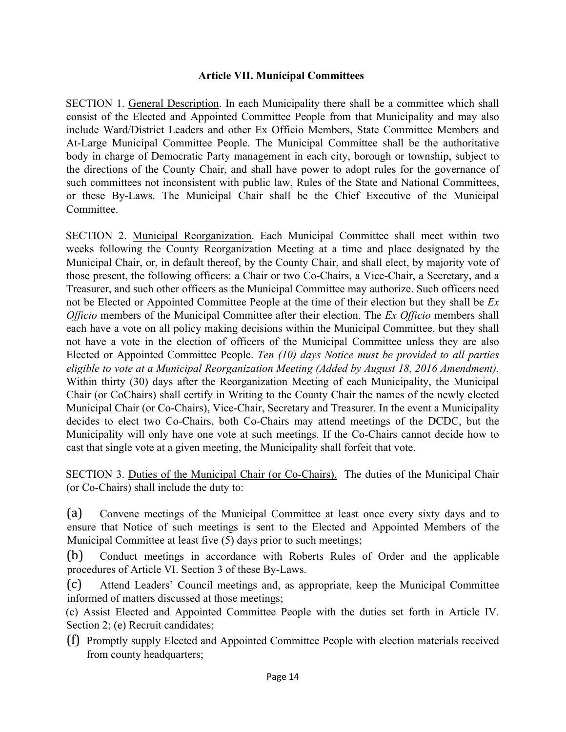#### **Article VII. Municipal Committees**

SECTION 1. General Description. In each Municipality there shall be a committee which shall consist of the Elected and Appointed Committee People from that Municipality and may also include Ward/District Leaders and other Ex Officio Members, State Committee Members and At-Large Municipal Committee People. The Municipal Committee shall be the authoritative body in charge of Democratic Party management in each city, borough or township, subject to the directions of the County Chair, and shall have power to adopt rules for the governance of such committees not inconsistent with public law, Rules of the State and National Committees, or these By-Laws. The Municipal Chair shall be the Chief Executive of the Municipal Committee.

SECTION 2. Municipal Reorganization. Each Municipal Committee shall meet within two weeks following the County Reorganization Meeting at a time and place designated by the Municipal Chair, or, in default thereof, by the County Chair, and shall elect, by majority vote of those present, the following officers: a Chair or two Co-Chairs, a Vice-Chair, a Secretary, and a Treasurer, and such other officers as the Municipal Committee may authorize. Such officers need not be Elected or Appointed Committee People at the time of their election but they shall be *Ex Officio* members of the Municipal Committee after their election. The *Ex Officio* members shall each have a vote on all policy making decisions within the Municipal Committee, but they shall not have a vote in the election of officers of the Municipal Committee unless they are also Elected or Appointed Committee People. *Ten (10) days Notice must be provided to all parties eligible to vote at a Municipal Reorganization Meeting (Added by August 18, 2016 Amendment).*  Within thirty (30) days after the Reorganization Meeting of each Municipality, the Municipal Chair (or CoChairs) shall certify in Writing to the County Chair the names of the newly elected Municipal Chair (or Co-Chairs), Vice-Chair, Secretary and Treasurer. In the event a Municipality decides to elect two Co-Chairs, both Co-Chairs may attend meetings of the DCDC, but the Municipality will only have one vote at such meetings. If the Co-Chairs cannot decide how to cast that single vote at a given meeting, the Municipality shall forfeit that vote.

SECTION 3. Duties of the Municipal Chair (or Co-Chairs). The duties of the Municipal Chair (or Co-Chairs) shall include the duty to:

(a) Convene meetings of the Municipal Committee at least once every sixty days and to ensure that Notice of such meetings is sent to the Elected and Appointed Members of the Municipal Committee at least five (5) days prior to such meetings;

(b) Conduct meetings in accordance with Roberts Rules of Order and the applicable procedures of Article VI. Section 3 of these By-Laws.

(c) Attend Leaders' Council meetings and, as appropriate, keep the Municipal Committee informed of matters discussed at those meetings;

(c) Assist Elected and Appointed Committee People with the duties set forth in Article IV. Section 2; (e) Recruit candidates;

(f) Promptly supply Elected and Appointed Committee People with election materials received from county headquarters;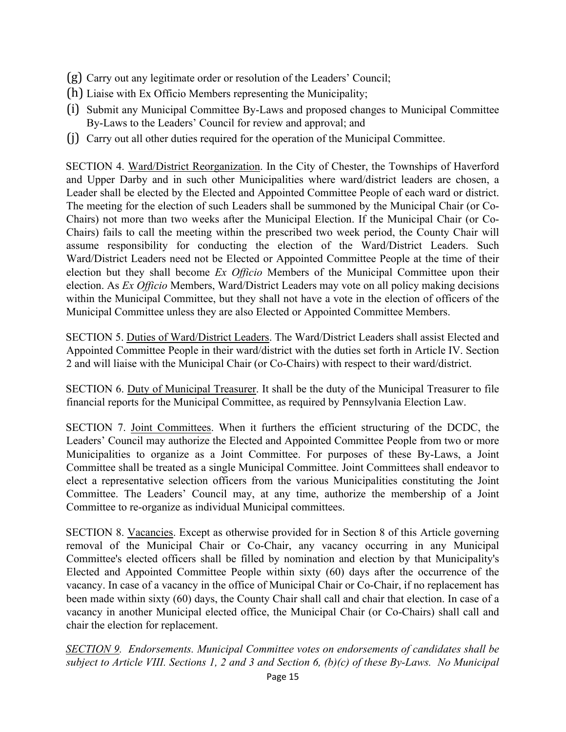- (g) Carry out any legitimate order or resolution of the Leaders' Council;
- (h) Liaise with Ex Officio Members representing the Municipality;
- (i) Submit any Municipal Committee By-Laws and proposed changes to Municipal Committee By-Laws to the Leaders' Council for review and approval; and
- (j) Carry out all other duties required for the operation of the Municipal Committee.

SECTION 4. Ward/District Reorganization. In the City of Chester, the Townships of Haverford and Upper Darby and in such other Municipalities where ward/district leaders are chosen, a Leader shall be elected by the Elected and Appointed Committee People of each ward or district. The meeting for the election of such Leaders shall be summoned by the Municipal Chair (or Co-Chairs) not more than two weeks after the Municipal Election. If the Municipal Chair (or Co-Chairs) fails to call the meeting within the prescribed two week period, the County Chair will assume responsibility for conducting the election of the Ward/District Leaders. Such Ward/District Leaders need not be Elected or Appointed Committee People at the time of their election but they shall become *Ex Officio* Members of the Municipal Committee upon their election. As *Ex Officio* Members, Ward/District Leaders may vote on all policy making decisions within the Municipal Committee, but they shall not have a vote in the election of officers of the Municipal Committee unless they are also Elected or Appointed Committee Members.

SECTION 5. Duties of Ward/District Leaders. The Ward/District Leaders shall assist Elected and Appointed Committee People in their ward/district with the duties set forth in Article IV. Section 2 and will liaise with the Municipal Chair (or Co-Chairs) with respect to their ward/district.

SECTION 6. Duty of Municipal Treasurer. It shall be the duty of the Municipal Treasurer to file financial reports for the Municipal Committee, as required by Pennsylvania Election Law.

SECTION 7. Joint Committees. When it furthers the efficient structuring of the DCDC, the Leaders' Council may authorize the Elected and Appointed Committee People from two or more Municipalities to organize as a Joint Committee. For purposes of these By-Laws, a Joint Committee shall be treated as a single Municipal Committee. Joint Committees shall endeavor to elect a representative selection officers from the various Municipalities constituting the Joint Committee. The Leaders' Council may, at any time, authorize the membership of a Joint Committee to re-organize as individual Municipal committees.

SECTION 8. Vacancies. Except as otherwise provided for in Section 8 of this Article governing removal of the Municipal Chair or Co-Chair, any vacancy occurring in any Municipal Committee's elected officers shall be filled by nomination and election by that Municipality's Elected and Appointed Committee People within sixty (60) days after the occurrence of the vacancy. In case of a vacancy in the office of Municipal Chair or Co-Chair, if no replacement has been made within sixty (60) days, the County Chair shall call and chair that election. In case of a vacancy in another Municipal elected office, the Municipal Chair (or Co-Chairs) shall call and chair the election for replacement.

*SECTION 9. Endorsements. Municipal Committee votes on endorsements of candidates shall be subject to Article VIII. Sections 1, 2 and 3 and Section 6, (b)(c) of these By-Laws. No Municipal*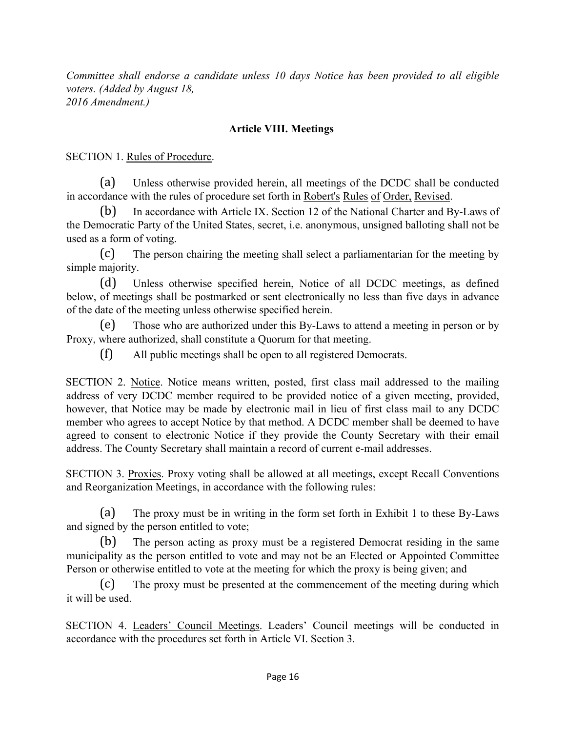*Committee shall endorse a candidate unless 10 days Notice has been provided to all eligible voters. (Added by August 18, 2016 Amendment.)* 

#### **Article VIII. Meetings**

SECTION 1. Rules of Procedure.

(a) Unless otherwise provided herein, all meetings of the DCDC shall be conducted in accordance with the rules of procedure set forth in Robert's Rules of Order, Revised.

(b) In accordance with Article IX. Section 12 of the National Charter and By-Laws of the Democratic Party of the United States, secret, i.e. anonymous, unsigned balloting shall not be used as a form of voting.

(c) The person chairing the meeting shall select a parliamentarian for the meeting by simple majority.

(d) Unless otherwise specified herein, Notice of all DCDC meetings, as defined below, of meetings shall be postmarked or sent electronically no less than five days in advance of the date of the meeting unless otherwise specified herein.

(e) Those who are authorized under this By-Laws to attend a meeting in person or by Proxy, where authorized, shall constitute a Quorum for that meeting.

(f) All public meetings shall be open to all registered Democrats.

SECTION 2. Notice. Notice means written, posted, first class mail addressed to the mailing address of very DCDC member required to be provided notice of a given meeting, provided, however, that Notice may be made by electronic mail in lieu of first class mail to any DCDC member who agrees to accept Notice by that method. A DCDC member shall be deemed to have agreed to consent to electronic Notice if they provide the County Secretary with their email address. The County Secretary shall maintain a record of current e-mail addresses.

SECTION 3. Proxies. Proxy voting shall be allowed at all meetings, except Recall Conventions and Reorganization Meetings, in accordance with the following rules:

(a) The proxy must be in writing in the form set forth in Exhibit 1 to these By-Laws and signed by the person entitled to vote;

(b) The person acting as proxy must be a registered Democrat residing in the same municipality as the person entitled to vote and may not be an Elected or Appointed Committee Person or otherwise entitled to vote at the meeting for which the proxy is being given; and

(c) The proxy must be presented at the commencement of the meeting during which it will be used.

SECTION 4. Leaders' Council Meetings. Leaders' Council meetings will be conducted in accordance with the procedures set forth in Article VI. Section 3.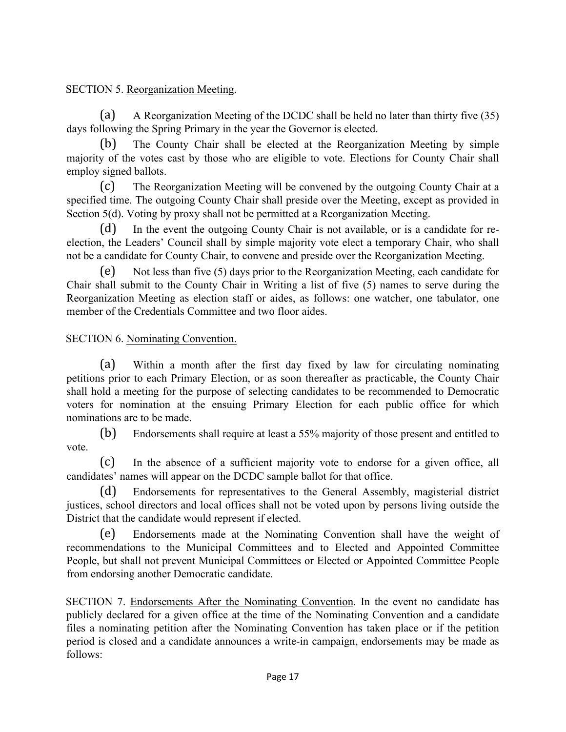# SECTION 5. Reorganization Meeting.

(a) A Reorganization Meeting of the DCDC shall be held no later than thirty five (35) days following the Spring Primary in the year the Governor is elected.

(b) The County Chair shall be elected at the Reorganization Meeting by simple majority of the votes cast by those who are eligible to vote. Elections for County Chair shall employ signed ballots.

(c) The Reorganization Meeting will be convened by the outgoing County Chair at a specified time. The outgoing County Chair shall preside over the Meeting, except as provided in Section 5(d). Voting by proxy shall not be permitted at a Reorganization Meeting.

In the event the outgoing County Chair is not available, or is a candidate for reelection, the Leaders' Council shall by simple majority vote elect a temporary Chair, who shall not be a candidate for County Chair, to convene and preside over the Reorganization Meeting.

(e) Not less than five (5) days prior to the Reorganization Meeting, each candidate for Chair shall submit to the County Chair in Writing a list of five (5) names to serve during the Reorganization Meeting as election staff or aides, as follows: one watcher, one tabulator, one member of the Credentials Committee and two floor aides.

# SECTION 6. Nominating Convention.

(a) Within a month after the first day fixed by law for circulating nominating petitions prior to each Primary Election, or as soon thereafter as practicable, the County Chair shall hold a meeting for the purpose of selecting candidates to be recommended to Democratic voters for nomination at the ensuing Primary Election for each public office for which nominations are to be made.

(b) Endorsements shall require at least a 55% majority of those present and entitled to vote.

(c) In the absence of a sufficient majority vote to endorse for a given office, all candidates' names will appear on the DCDC sample ballot for that office.

(d) Endorsements for representatives to the General Assembly, magisterial district justices, school directors and local offices shall not be voted upon by persons living outside the District that the candidate would represent if elected.

(e) Endorsements made at the Nominating Convention shall have the weight of recommendations to the Municipal Committees and to Elected and Appointed Committee People, but shall not prevent Municipal Committees or Elected or Appointed Committee People from endorsing another Democratic candidate.

SECTION 7. Endorsements After the Nominating Convention. In the event no candidate has publicly declared for a given office at the time of the Nominating Convention and a candidate files a nominating petition after the Nominating Convention has taken place or if the petition period is closed and a candidate announces a write-in campaign, endorsements may be made as follows: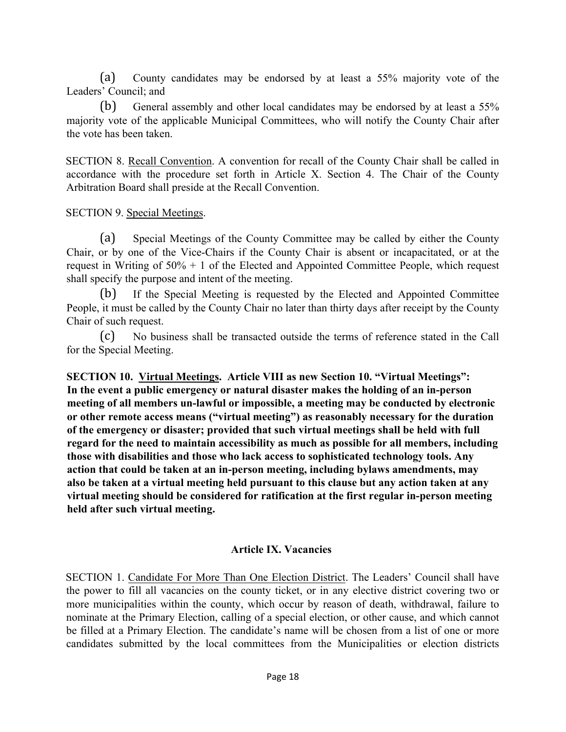(a) County candidates may be endorsed by at least a 55% majority vote of the Leaders' Council; and

(b) General assembly and other local candidates may be endorsed by at least a 55% majority vote of the applicable Municipal Committees, who will notify the County Chair after the vote has been taken.

SECTION 8. Recall Convention. A convention for recall of the County Chair shall be called in accordance with the procedure set forth in Article X. Section 4. The Chair of the County Arbitration Board shall preside at the Recall Convention.

SECTION 9. Special Meetings.

(a) Special Meetings of the County Committee may be called by either the County Chair, or by one of the Vice-Chairs if the County Chair is absent or incapacitated, or at the request in Writing of 50% + 1 of the Elected and Appointed Committee People, which request shall specify the purpose and intent of the meeting.

(b) If the Special Meeting is requested by the Elected and Appointed Committee People, it must be called by the County Chair no later than thirty days after receipt by the County Chair of such request.

(c) No business shall be transacted outside the terms of reference stated in the Call for the Special Meeting.

**SECTION 10. Virtual Meetings. Article VIII as new Section 10. "Virtual Meetings": In the event a public emergency or natural disaster makes the holding of an in-person meeting of all members un-lawful or impossible, a meeting may be conducted by electronic or other remote access means ("virtual meeting") as reasonably necessary for the duration of the emergency or disaster; provided that such virtual meetings shall be held with full regard for the need to maintain accessibility as much as possible for all members, including those with disabilities and those who lack access to sophisticated technology tools. Any action that could be taken at an in-person meeting, including bylaws amendments, may also be taken at a virtual meeting held pursuant to this clause but any action taken at any virtual meeting should be considered for ratification at the first regular in-person meeting held after such virtual meeting.**

#### **Article IX. Vacancies**

SECTION 1. Candidate For More Than One Election District. The Leaders' Council shall have the power to fill all vacancies on the county ticket, or in any elective district covering two or more municipalities within the county, which occur by reason of death, withdrawal, failure to nominate at the Primary Election, calling of a special election, or other cause, and which cannot be filled at a Primary Election. The candidate's name will be chosen from a list of one or more candidates submitted by the local committees from the Municipalities or election districts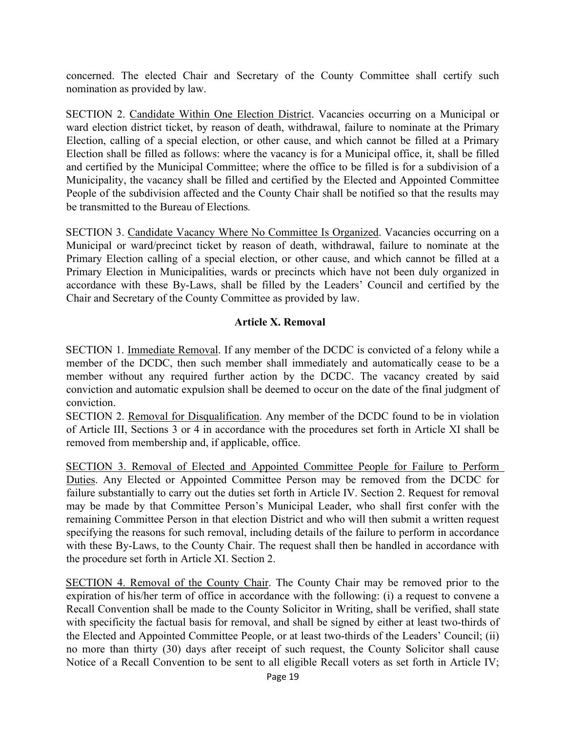concerned. The elected Chair and Secretary of the County Committee shall certify such nomination as provided by law.

SECTION 2. Candidate Within One Election District. Vacancies occurring on a Municipal or ward election district ticket, by reason of death, withdrawal, failure to nominate at the Primary Election, calling of a special election, or other cause, and which cannot be filled at a Primary Election shall be filled as follows: where the vacancy is for a Municipal office, it, shall be filled and certified by the Municipal Committee; where the office to be filled is for a subdivision of a Municipality, the vacancy shall be filled and certified by the Elected and Appointed Committee People of the subdivision affected and the County Chair shall be notified so that the results may be transmitted to the Bureau of Elections*.*

SECTION 3. Candidate Vacancy Where No Committee Is Organized. Vacancies occurring on a Municipal or ward/precinct ticket by reason of death, withdrawal, failure to nominate at the Primary Election calling of a special election, or other cause, and which cannot be filled at a Primary Election in Municipalities, wards or precincts which have not been duly organized in accordance with these By-Laws, shall be filled by the Leaders' Council and certified by the Chair and Secretary of the County Committee as provided by law.

#### **Article X. Removal**

SECTION 1. Immediate Removal. If any member of the DCDC is convicted of a felony while a member of the DCDC, then such member shall immediately and automatically cease to be a member without any required further action by the DCDC. The vacancy created by said conviction and automatic expulsion shall be deemed to occur on the date of the final judgment of conviction.

SECTION 2. Removal for Disqualification. Any member of the DCDC found to be in violation of Article III, Sections 3 or 4 in accordance with the procedures set forth in Article XI shall be removed from membership and, if applicable, office.

SECTION 3. Removal of Elected and Appointed Committee People for Failure to Perform Duties. Any Elected or Appointed Committee Person may be removed from the DCDC for failure substantially to carry out the duties set forth in Article IV. Section 2. Request for removal may be made by that Committee Person's Municipal Leader, who shall first confer with the remaining Committee Person in that election District and who will then submit a written request specifying the reasons for such removal, including details of the failure to perform in accordance with these By-Laws, to the County Chair. The request shall then be handled in accordance with the procedure set forth in Article XI. Section 2.

SECTION 4. Removal of the County Chair. The County Chair may be removed prior to the expiration of his/her term of office in accordance with the following: (i) a request to convene a Recall Convention shall be made to the County Solicitor in Writing, shall be verified, shall state with specificity the factual basis for removal, and shall be signed by either at least two-thirds of the Elected and Appointed Committee People, or at least two-thirds of the Leaders' Council; (ii) no more than thirty (30) days after receipt of such request, the County Solicitor shall cause Notice of a Recall Convention to be sent to all eligible Recall voters as set forth in Article IV;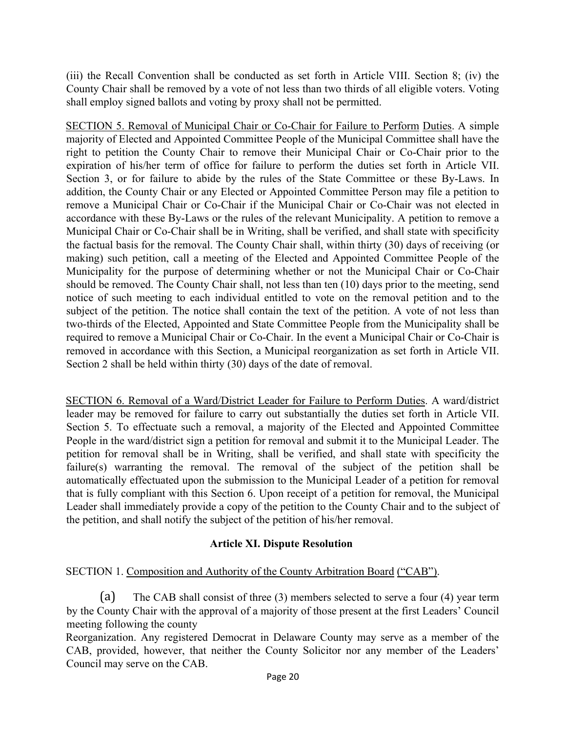(iii) the Recall Convention shall be conducted as set forth in Article VIII. Section 8; (iv) the County Chair shall be removed by a vote of not less than two thirds of all eligible voters. Voting shall employ signed ballots and voting by proxy shall not be permitted.

SECTION 5. Removal of Municipal Chair or Co-Chair for Failure to Perform Duties. A simple majority of Elected and Appointed Committee People of the Municipal Committee shall have the right to petition the County Chair to remove their Municipal Chair or Co-Chair prior to the expiration of his/her term of office for failure to perform the duties set forth in Article VII. Section 3, or for failure to abide by the rules of the State Committee or these By-Laws. In addition, the County Chair or any Elected or Appointed Committee Person may file a petition to remove a Municipal Chair or Co-Chair if the Municipal Chair or Co-Chair was not elected in accordance with these By-Laws or the rules of the relevant Municipality. A petition to remove a Municipal Chair or Co-Chair shall be in Writing, shall be verified, and shall state with specificity the factual basis for the removal. The County Chair shall, within thirty (30) days of receiving (or making) such petition, call a meeting of the Elected and Appointed Committee People of the Municipality for the purpose of determining whether or not the Municipal Chair or Co-Chair should be removed. The County Chair shall, not less than ten (10) days prior to the meeting, send notice of such meeting to each individual entitled to vote on the removal petition and to the subject of the petition. The notice shall contain the text of the petition. A vote of not less than two-thirds of the Elected, Appointed and State Committee People from the Municipality shall be required to remove a Municipal Chair or Co-Chair. In the event a Municipal Chair or Co-Chair is removed in accordance with this Section, a Municipal reorganization as set forth in Article VII. Section 2 shall be held within thirty (30) days of the date of removal.

 SECTION 6. Removal of a Ward/District Leader for Failure to Perform Duties. A ward/district leader may be removed for failure to carry out substantially the duties set forth in Article VII. Section 5. To effectuate such a removal, a majority of the Elected and Appointed Committee People in the ward/district sign a petition for removal and submit it to the Municipal Leader. The petition for removal shall be in Writing, shall be verified, and shall state with specificity the failure(s) warranting the removal. The removal of the subject of the petition shall be automatically effectuated upon the submission to the Municipal Leader of a petition for removal that is fully compliant with this Section 6. Upon receipt of a petition for removal, the Municipal Leader shall immediately provide a copy of the petition to the County Chair and to the subject of the petition, and shall notify the subject of the petition of his/her removal.

#### **Article XI. Dispute Resolution**

# SECTION 1. Composition and Authority of the County Arbitration Board ("CAB").

(a) The CAB shall consist of three (3) members selected to serve a four (4) year term by the County Chair with the approval of a majority of those present at the first Leaders' Council meeting following the county

Reorganization. Any registered Democrat in Delaware County may serve as a member of the CAB, provided, however, that neither the County Solicitor nor any member of the Leaders' Council may serve on the CAB.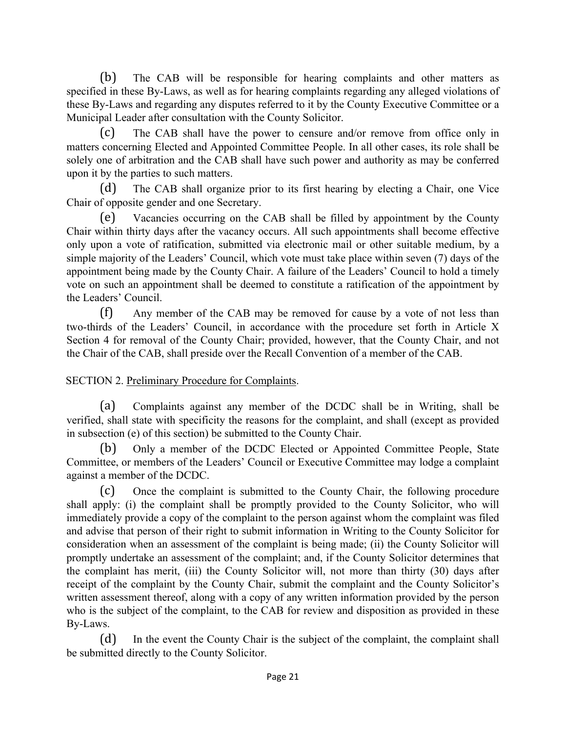(b) The CAB will be responsible for hearing complaints and other matters as specified in these By-Laws, as well as for hearing complaints regarding any alleged violations of these By-Laws and regarding any disputes referred to it by the County Executive Committee or a Municipal Leader after consultation with the County Solicitor.

(c) The CAB shall have the power to censure and/or remove from office only in matters concerning Elected and Appointed Committee People. In all other cases, its role shall be solely one of arbitration and the CAB shall have such power and authority as may be conferred upon it by the parties to such matters.

(d) The CAB shall organize prior to its first hearing by electing a Chair, one Vice Chair of opposite gender and one Secretary.

(e) Vacancies occurring on the CAB shall be filled by appointment by the County Chair within thirty days after the vacancy occurs. All such appointments shall become effective only upon a vote of ratification, submitted via electronic mail or other suitable medium, by a simple majority of the Leaders' Council, which vote must take place within seven (7) days of the appointment being made by the County Chair. A failure of the Leaders' Council to hold a timely vote on such an appointment shall be deemed to constitute a ratification of the appointment by the Leaders' Council.

(f) Any member of the CAB may be removed for cause by a vote of not less than two-thirds of the Leaders' Council, in accordance with the procedure set forth in Article X Section 4 for removal of the County Chair; provided, however, that the County Chair, and not the Chair of the CAB, shall preside over the Recall Convention of a member of the CAB.

SECTION 2. Preliminary Procedure for Complaints.

(a) Complaints against any member of the DCDC shall be in Writing, shall be verified, shall state with specificity the reasons for the complaint, and shall (except as provided in subsection (e) of this section) be submitted to the County Chair.

(b) Only a member of the DCDC Elected or Appointed Committee People, State Committee, or members of the Leaders' Council or Executive Committee may lodge a complaint against a member of the DCDC.

(c) Once the complaint is submitted to the County Chair, the following procedure shall apply: (i) the complaint shall be promptly provided to the County Solicitor, who will immediately provide a copy of the complaint to the person against whom the complaint was filed and advise that person of their right to submit information in Writing to the County Solicitor for consideration when an assessment of the complaint is being made; (ii) the County Solicitor will promptly undertake an assessment of the complaint; and, if the County Solicitor determines that the complaint has merit, (iii) the County Solicitor will, not more than thirty (30) days after receipt of the complaint by the County Chair, submit the complaint and the County Solicitor's written assessment thereof, along with a copy of any written information provided by the person who is the subject of the complaint, to the CAB for review and disposition as provided in these By-Laws.

(d) In the event the County Chair is the subject of the complaint, the complaint shall be submitted directly to the County Solicitor.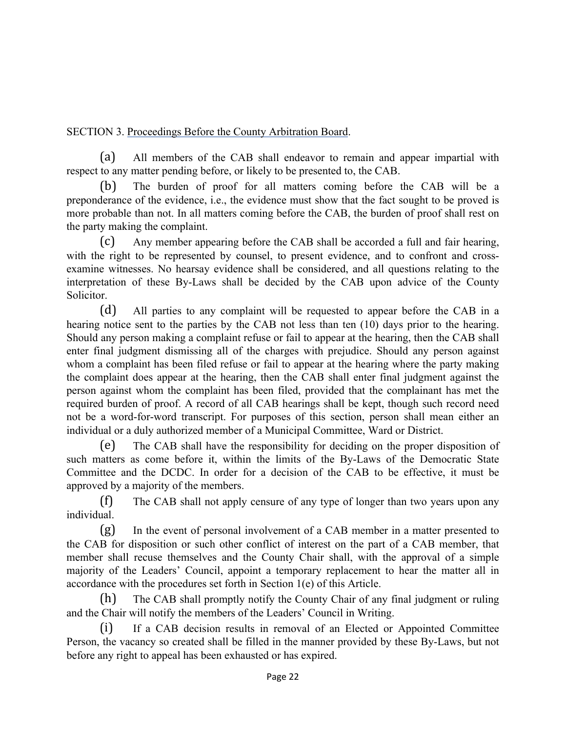SECTION 3. Proceedings Before the County Arbitration Board.

(a) All members of the CAB shall endeavor to remain and appear impartial with respect to any matter pending before, or likely to be presented to, the CAB.

(b) The burden of proof for all matters coming before the CAB will be a preponderance of the evidence, i.e., the evidence must show that the fact sought to be proved is more probable than not. In all matters coming before the CAB, the burden of proof shall rest on the party making the complaint.

(c) Any member appearing before the CAB shall be accorded a full and fair hearing, with the right to be represented by counsel, to present evidence, and to confront and crossexamine witnesses. No hearsay evidence shall be considered, and all questions relating to the interpretation of these By-Laws shall be decided by the CAB upon advice of the County Solicitor.

(d) All parties to any complaint will be requested to appear before the CAB in a hearing notice sent to the parties by the CAB not less than ten (10) days prior to the hearing. Should any person making a complaint refuse or fail to appear at the hearing, then the CAB shall enter final judgment dismissing all of the charges with prejudice. Should any person against whom a complaint has been filed refuse or fail to appear at the hearing where the party making the complaint does appear at the hearing, then the CAB shall enter final judgment against the person against whom the complaint has been filed, provided that the complainant has met the required burden of proof. A record of all CAB hearings shall be kept, though such record need not be a word-for-word transcript. For purposes of this section, person shall mean either an individual or a duly authorized member of a Municipal Committee, Ward or District.

(e) The CAB shall have the responsibility for deciding on the proper disposition of such matters as come before it, within the limits of the By-Laws of the Democratic State Committee and the DCDC. In order for a decision of the CAB to be effective, it must be approved by a majority of the members.

(f) The CAB shall not apply censure of any type of longer than two years upon any individual.

(g) In the event of personal involvement of a CAB member in a matter presented to the CAB for disposition or such other conflict of interest on the part of a CAB member, that member shall recuse themselves and the County Chair shall, with the approval of a simple majority of the Leaders' Council, appoint a temporary replacement to hear the matter all in accordance with the procedures set forth in Section 1(e) of this Article.

The CAB shall promptly notify the County Chair of any final judgment or ruling and the Chair will notify the members of the Leaders' Council in Writing.

(i) If a CAB decision results in removal of an Elected or Appointed Committee Person, the vacancy so created shall be filled in the manner provided by these By-Laws, but not before any right to appeal has been exhausted or has expired.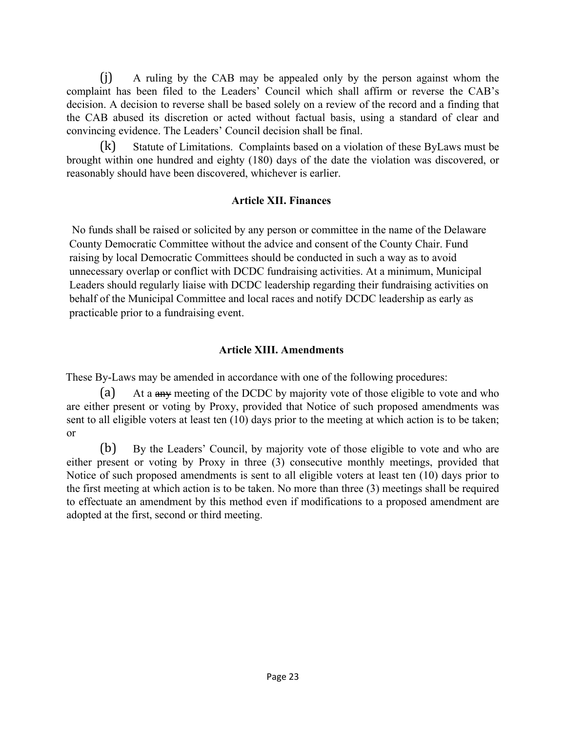(j) A ruling by the CAB may be appealed only by the person against whom the complaint has been filed to the Leaders' Council which shall affirm or reverse the CAB's decision. A decision to reverse shall be based solely on a review of the record and a finding that the CAB abused its discretion or acted without factual basis, using a standard of clear and convincing evidence. The Leaders' Council decision shall be final.

(k) Statute of Limitations. Complaints based on a violation of these ByLaws must be brought within one hundred and eighty (180) days of the date the violation was discovered, or reasonably should have been discovered, whichever is earlier.

## **Article XII. Finances**

No funds shall be raised or solicited by any person or committee in the name of the Delaware County Democratic Committee without the advice and consent of the County Chair. Fund raising by local Democratic Committees should be conducted in such a way as to avoid unnecessary overlap or conflict with DCDC fundraising activities. At a minimum, Municipal Leaders should regularly liaise with DCDC leadership regarding their fundraising activities on behalf of the Municipal Committee and local races and notify DCDC leadership as early as practicable prior to a fundraising event.

## **Article XIII. Amendments**

These By-Laws may be amended in accordance with one of the following procedures:

(a) At a any meeting of the DCDC by majority vote of those eligible to vote and who are either present or voting by Proxy, provided that Notice of such proposed amendments was sent to all eligible voters at least ten (10) days prior to the meeting at which action is to be taken; or

(b) By the Leaders' Council, by majority vote of those eligible to vote and who are either present or voting by Proxy in three (3) consecutive monthly meetings, provided that Notice of such proposed amendments is sent to all eligible voters at least ten (10) days prior to the first meeting at which action is to be taken. No more than three (3) meetings shall be required to effectuate an amendment by this method even if modifications to a proposed amendment are adopted at the first, second or third meeting.